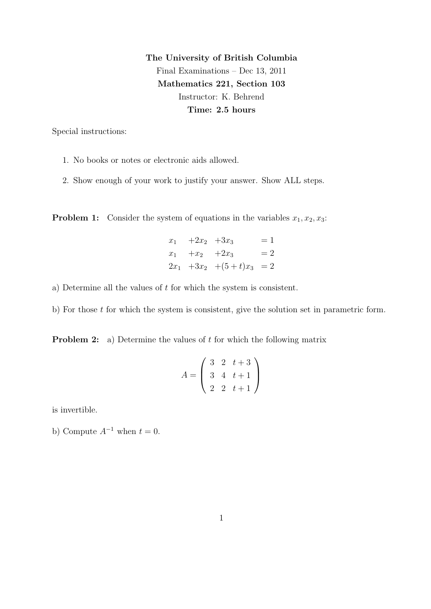The University of British Columbia Final Examinations – Dec 13, 2011 Mathematics 221, Section 103 Instructor: K. Behrend Time: 2.5 hours

Special instructions:

- 1. No books or notes or electronic aids allowed.
- 2. Show enough of your work to justify your answer. Show ALL steps.

**Problem 1:** Consider the system of equations in the variables  $x_1, x_2, x_3$ :

 $x_1 + 2x_2 + 3x_3 = 1$  $x_1 +x_2 +2x_3 = 2$  $2x_1 +3x_2 + (5+t)x_3 = 2$ 

- a) Determine all the values of t for which the system is consistent.
- b) For those  $t$  for which the system is consistent, give the solution set in parametric form.

**Problem 2:** a) Determine the values of  $t$  for which the following matrix

$$
A = \left(\begin{array}{rrr} 3 & 2 & t+3 \\ 3 & 4 & t+1 \\ 2 & 2 & t+1 \end{array}\right)
$$

is invertible.

b) Compute  $A^{-1}$  when  $t = 0$ .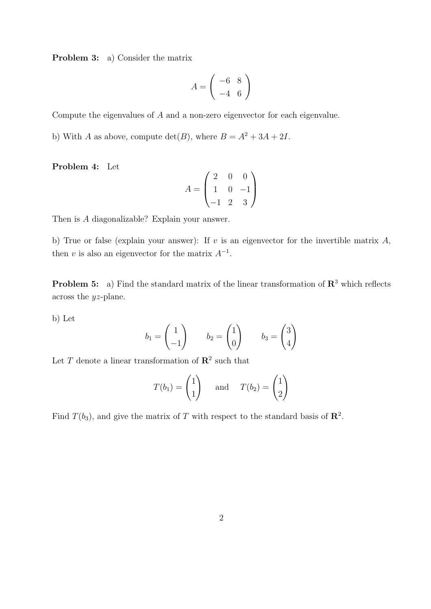Problem 3: a) Consider the matrix

$$
A = \left(\begin{array}{cc} -6 & 8\\ -4 & 6 \end{array}\right)
$$

Compute the eigenvalues of A and a non-zero eigenvector for each eigenvalue.

b) With A as above, compute  $\det(B)$ , where  $B = A^2 + 3A + 2I$ .

Problem 4: Let

$$
A = \begin{pmatrix} 2 & 0 & 0 \\ 1 & 0 & -1 \\ -1 & 2 & 3 \end{pmatrix}
$$

Then is A diagonalizable? Explain your answer.

b) True or false (explain your answer): If  $v$  is an eigenvector for the invertible matrix  $A$ , then v is also an eigenvector for the matrix  $A^{-1}$ .

**Problem 5:** a) Find the standard matrix of the linear transformation of  $\mathbb{R}^3$  which reflects across the yz-plane.

b) Let

$$
b_1 = \begin{pmatrix} 1 \\ -1 \end{pmatrix} \qquad b_2 = \begin{pmatrix} 1 \\ 0 \end{pmatrix} \qquad b_3 = \begin{pmatrix} 3 \\ 4 \end{pmatrix}
$$

Let T denote a linear transformation of  $\mathbb{R}^2$  such that

$$
T(b_1) = \begin{pmatrix} 1 \\ 1 \end{pmatrix} \quad \text{and} \quad T(b_2) = \begin{pmatrix} 1 \\ 2 \end{pmatrix}
$$

Find  $T(b_3)$ , and give the matrix of T with respect to the standard basis of  $\mathbb{R}^2$ .